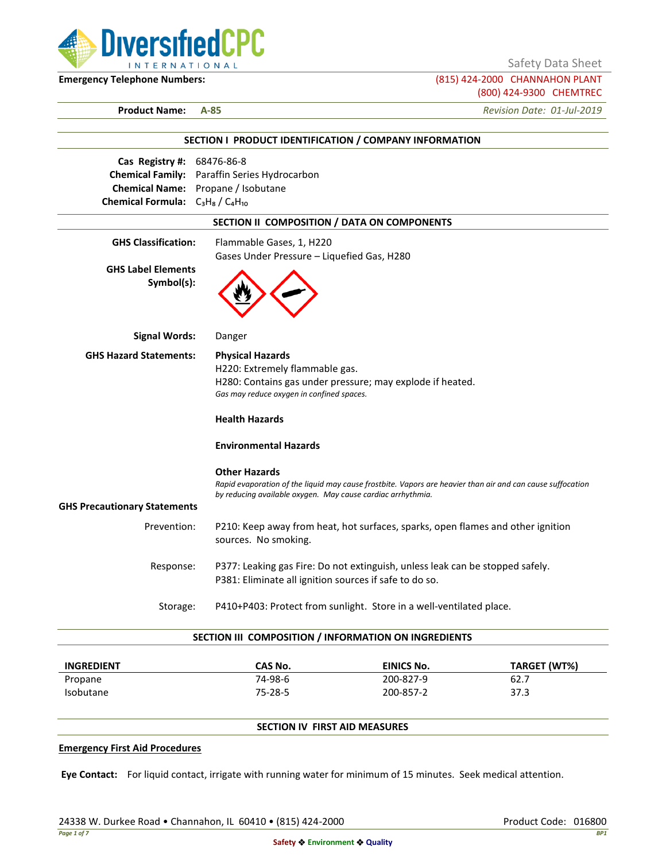

Safety Data Sheet

**Emergency Telephone Numbers:** (815) 424-2000 CHANNAHON PLANT (800) 424-9300 CHEMTREC

**Product Name: A-85** *Revision Date: 01-Jul-2019*

|                                         | SECTION I PRODUCT IDENTIFICATION / COMPANY INFORMATION                                                     |
|-----------------------------------------|------------------------------------------------------------------------------------------------------------|
| Cas Registry #: 68476-86-8              |                                                                                                            |
|                                         | <b>Chemical Family:</b> Paraffin Series Hydrocarbon                                                        |
|                                         | Chemical Name: Propane / Isobutane                                                                         |
| Chemical Formula: $C_3H_8/C_4H_{10}$    |                                                                                                            |
|                                         | SECTION II COMPOSITION / DATA ON COMPONENTS                                                                |
| <b>GHS Classification:</b>              | Flammable Gases, 1, H220                                                                                   |
|                                         | Gases Under Pressure - Liquefied Gas, H280                                                                 |
| <b>GHS Label Elements</b><br>Symbol(s): |                                                                                                            |
| <b>Signal Words:</b>                    | Danger                                                                                                     |
| <b>GHS Hazard Statements:</b>           | <b>Physical Hazards</b>                                                                                    |
|                                         | H220: Extremely flammable gas.                                                                             |
|                                         | H280: Contains gas under pressure; may explode if heated.                                                  |
|                                         | Gas may reduce oxygen in confined spaces.                                                                  |
|                                         | <b>Health Hazards</b>                                                                                      |
|                                         | <b>Environmental Hazards</b>                                                                               |
|                                         | <b>Other Hazards</b>                                                                                       |
|                                         | Rapid evaporation of the liquid may cause frostbite. Vapors are heavier than air and can cause suffocation |
| <b>GHS Precautionary Statements</b>     | by reducing available oxygen. May cause cardiac arrhythmia.                                                |
|                                         |                                                                                                            |
| Prevention:                             | P210: Keep away from heat, hot surfaces, sparks, open flames and other ignition<br>sources. No smoking.    |
| Response:                               | P377: Leaking gas Fire: Do not extinguish, unless leak can be stopped safely.                              |
|                                         | P381: Eliminate all ignition sources if safe to do so.                                                     |
| Storage:                                | P410+P403: Protect from sunlight. Store in a well-ventilated place.                                        |

| <b>INGREDIENT</b> | CAS No.       | EINICS No. | TARGET (WT%) |
|-------------------|---------------|------------|--------------|
| Propane           | 74-98-6       | 200-827-9  | 62.7         |
| <b>Isobutane</b>  | $75 - 28 - 5$ | 200-857-2  | 37.3         |

## **SECTION IV FIRST AID MEASURES**

#### **Emergency First Aid Procedures**

**Eye Contact:** For liquid contact, irrigate with running water for minimum of 15 minutes. Seek medical attention.

24338 W. Durkee Road • Channahon, IL 60410 • (815) 424-2000 Product Code: 016800 Product Code: 016800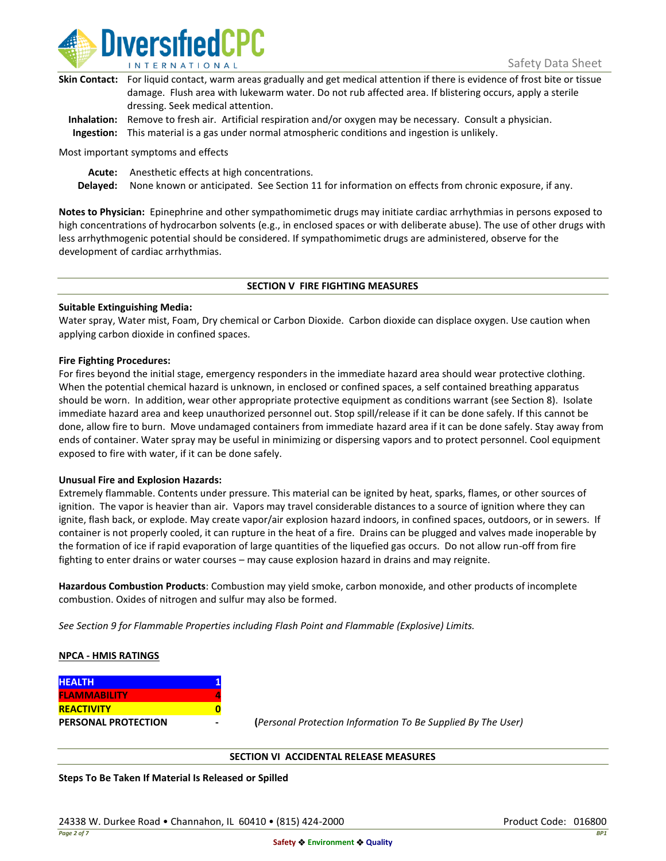

| Skin Contact: For liquid contact, warm areas gradually and get medical attention if there is evidence of frost bite or tissue |
|-------------------------------------------------------------------------------------------------------------------------------|
| damage. Flush area with lukewarm water. Do not rub affected area. If blistering occurs, apply a sterile                       |
| dressing. Seek medical attention.                                                                                             |
|                                                                                                                               |

**Inhalation:** Remove to fresh air. Artificial respiration and/or oxygen may be necessary. Consult a physician. **Ingestion:** This material is a gas under normal atmospheric conditions and ingestion is unlikely.

Most important symptoms and effects

**Acute:** Anesthetic effects at high concentrations.

**Delayed:** None known or anticipated. See Section 11 for information on effects from chronic exposure, if any.

**Notes to Physician:** Epinephrine and other sympathomimetic drugs may initiate cardiac arrhythmias in persons exposed to high concentrations of hydrocarbon solvents (e.g., in enclosed spaces or with deliberate abuse). The use of other drugs with less arrhythmogenic potential should be considered. If sympathomimetic drugs are administered, observe for the development of cardiac arrhythmias.

### **SECTION V FIRE FIGHTING MEASURES**

### **Suitable Extinguishing Media:**

Water spray, Water mist, Foam, Dry chemical or Carbon Dioxide. Carbon dioxide can displace oxygen. Use caution when applying carbon dioxide in confined spaces.

### **Fire Fighting Procedures:**

For fires beyond the initial stage, emergency responders in the immediate hazard area should wear protective clothing. When the potential chemical hazard is unknown, in enclosed or confined spaces, a self contained breathing apparatus should be worn. In addition, wear other appropriate protective equipment as conditions warrant (see Section 8). Isolate immediate hazard area and keep unauthorized personnel out. Stop spill/release if it can be done safely. If this cannot be done, allow fire to burn. Move undamaged containers from immediate hazard area if it can be done safely. Stay away from ends of container. Water spray may be useful in minimizing or dispersing vapors and to protect personnel. Cool equipment exposed to fire with water, if it can be done safely.

### **Unusual Fire and Explosion Hazards:**

Extremely flammable. Contents under pressure. This material can be ignited by heat, sparks, flames, or other sources of ignition. The vapor is heavier than air. Vapors may travel considerable distances to a source of ignition where they can ignite, flash back, or explode. May create vapor/air explosion hazard indoors, in confined spaces, outdoors, or in sewers. If container is not properly cooled, it can rupture in the heat of a fire. Drains can be plugged and valves made inoperable by the formation of ice if rapid evaporation of large quantities of the liquefied gas occurs. Do not allow run-off from fire fighting to enter drains or water courses – may cause explosion hazard in drains and may reignite.

**Hazardous Combustion Products**: Combustion may yield smoke, carbon monoxide, and other products of incomplete combustion. Oxides of nitrogen and sulfur may also be formed.

*See Section 9 for Flammable Properties including Flash Point and Flammable (Explosive) Limits.*

### **NPCA - HMIS RATINGS**

| <b>HEALTH</b>              |  |
|----------------------------|--|
| <b>FLAMMABILITY</b>        |  |
| <b>REACTIVITY</b>          |  |
| <b>PERSONAL PROTECTION</b> |  |

**PERSONAL PROTECTION - (***Personal Protection Information To Be Supplied By The User)*

### **SECTION VI ACCIDENTAL RELEASE MEASURES**

**Steps To Be Taken If Material Is Released or Spilled**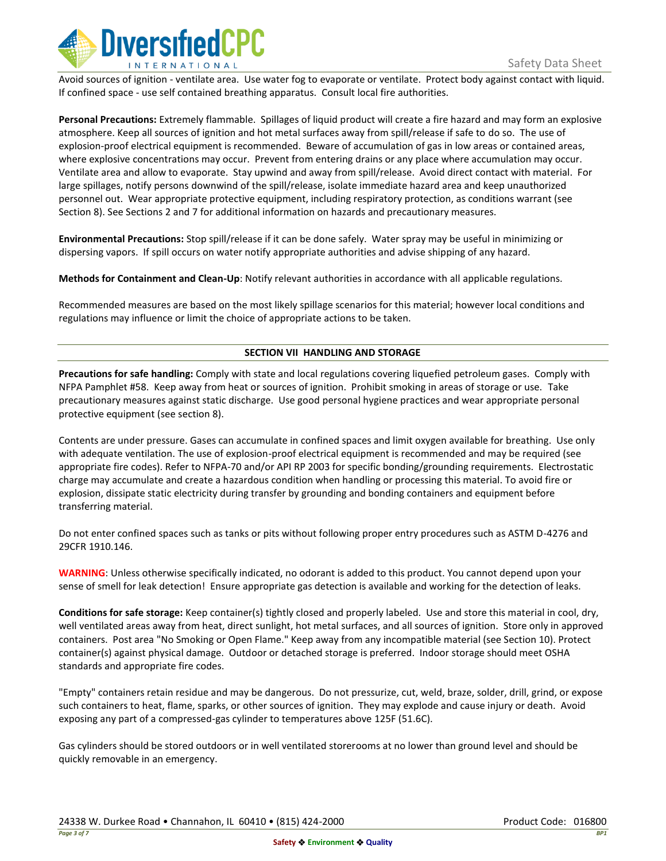

Avoid sources of ignition - ventilate area. Use water fog to evaporate or ventilate. Protect body against contact with liquid. If confined space - use self contained breathing apparatus. Consult local fire authorities.

**Personal Precautions:** Extremely flammable. Spillages of liquid product will create a fire hazard and may form an explosive atmosphere. Keep all sources of ignition and hot metal surfaces away from spill/release if safe to do so. The use of explosion-proof electrical equipment is recommended. Beware of accumulation of gas in low areas or contained areas, where explosive concentrations may occur. Prevent from entering drains or any place where accumulation may occur. Ventilate area and allow to evaporate. Stay upwind and away from spill/release. Avoid direct contact with material. For large spillages, notify persons downwind of the spill/release, isolate immediate hazard area and keep unauthorized personnel out. Wear appropriate protective equipment, including respiratory protection, as conditions warrant (see Section 8). See Sections 2 and 7 for additional information on hazards and precautionary measures.

**Environmental Precautions:** Stop spill/release if it can be done safely. Water spray may be useful in minimizing or dispersing vapors. If spill occurs on water notify appropriate authorities and advise shipping of any hazard.

**Methods for Containment and Clean-Up**: Notify relevant authorities in accordance with all applicable regulations.

Recommended measures are based on the most likely spillage scenarios for this material; however local conditions and regulations may influence or limit the choice of appropriate actions to be taken.

## **SECTION VII HANDLING AND STORAGE**

**Precautions for safe handling:** Comply with state and local regulations covering liquefied petroleum gases. Comply with NFPA Pamphlet #58. Keep away from heat or sources of ignition. Prohibit smoking in areas of storage or use. Take precautionary measures against static discharge. Use good personal hygiene practices and wear appropriate personal protective equipment (see section 8).

Contents are under pressure. Gases can accumulate in confined spaces and limit oxygen available for breathing. Use only with adequate ventilation. The use of explosion-proof electrical equipment is recommended and may be required (see appropriate fire codes). Refer to NFPA-70 and/or API RP 2003 for specific bonding/grounding requirements. Electrostatic charge may accumulate and create a hazardous condition when handling or processing this material. To avoid fire or explosion, dissipate static electricity during transfer by grounding and bonding containers and equipment before transferring material.

Do not enter confined spaces such as tanks or pits without following proper entry procedures such as ASTM D-4276 and 29CFR 1910.146.

**WARNING**: Unless otherwise specifically indicated, no odorant is added to this product. You cannot depend upon your sense of smell for leak detection! Ensure appropriate gas detection is available and working for the detection of leaks.

**Conditions for safe storage:** Keep container(s) tightly closed and properly labeled. Use and store this material in cool, dry, well ventilated areas away from heat, direct sunlight, hot metal surfaces, and all sources of ignition. Store only in approved containers. Post area "No Smoking or Open Flame." Keep away from any incompatible material (see Section 10). Protect container(s) against physical damage. Outdoor or detached storage is preferred. Indoor storage should meet OSHA standards and appropriate fire codes.

"Empty" containers retain residue and may be dangerous. Do not pressurize, cut, weld, braze, solder, drill, grind, or expose such containers to heat, flame, sparks, or other sources of ignition. They may explode and cause injury or death. Avoid exposing any part of a compressed-gas cylinder to temperatures above 125F (51.6C).

Gas cylinders should be stored outdoors or in well ventilated storerooms at no lower than ground level and should be quickly removable in an emergency.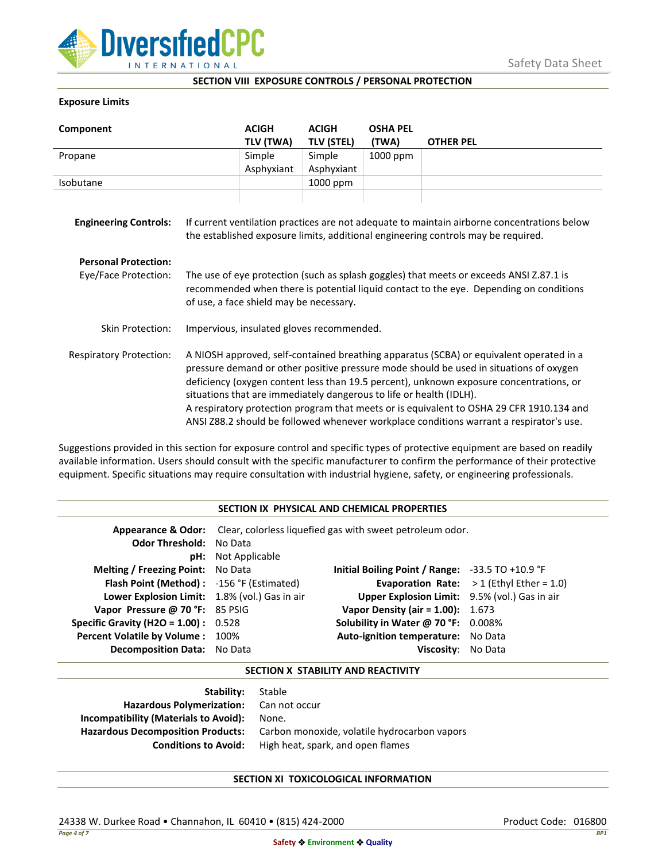

### **SECTION VIII EXPOSURE CONTROLS / PERSONAL PROTECTION**

## **Exposure Limits**

| Component                      |                                                                                                                                                                                                                                                                                                                                                                                                                                                                                                                                            | <b>ACIGH</b>        | <b>ACIGH</b>                | <b>OSHA PEL</b>   |                  |
|--------------------------------|--------------------------------------------------------------------------------------------------------------------------------------------------------------------------------------------------------------------------------------------------------------------------------------------------------------------------------------------------------------------------------------------------------------------------------------------------------------------------------------------------------------------------------------------|---------------------|-----------------------------|-------------------|------------------|
| Propane                        |                                                                                                                                                                                                                                                                                                                                                                                                                                                                                                                                            | TLV (TWA)<br>Simple | <b>TLV (STEL)</b><br>Simple | (TWA)<br>1000 ppm | <b>OTHER PEL</b> |
|                                |                                                                                                                                                                                                                                                                                                                                                                                                                                                                                                                                            | Asphyxiant          | Asphyxiant                  |                   |                  |
| Isobutane                      |                                                                                                                                                                                                                                                                                                                                                                                                                                                                                                                                            |                     | 1000 ppm                    |                   |                  |
| <b>Engineering Controls:</b>   | If current ventilation practices are not adequate to maintain airborne concentrations below<br>the established exposure limits, additional engineering controls may be required.                                                                                                                                                                                                                                                                                                                                                           |                     |                             |                   |                  |
| <b>Personal Protection:</b>    |                                                                                                                                                                                                                                                                                                                                                                                                                                                                                                                                            |                     |                             |                   |                  |
| Eye/Face Protection:           | The use of eye protection (such as splash goggles) that meets or exceeds ANSI Z.87.1 is<br>recommended when there is potential liquid contact to the eye. Depending on conditions<br>of use, a face shield may be necessary.                                                                                                                                                                                                                                                                                                               |                     |                             |                   |                  |
| <b>Skin Protection:</b>        | Impervious, insulated gloves recommended.                                                                                                                                                                                                                                                                                                                                                                                                                                                                                                  |                     |                             |                   |                  |
| <b>Respiratory Protection:</b> | A NIOSH approved, self-contained breathing apparatus (SCBA) or equivalent operated in a<br>pressure demand or other positive pressure mode should be used in situations of oxygen<br>deficiency (oxygen content less than 19.5 percent), unknown exposure concentrations, or<br>situations that are immediately dangerous to life or health (IDLH).<br>A respiratory protection program that meets or is equivalent to OSHA 29 CFR 1910.134 and<br>ANSI Z88.2 should be followed whenever workplace conditions warrant a respirator's use. |                     |                             |                   |                  |

Suggestions provided in this section for exposure control and specific types of protective equipment are based on readily available information. Users should consult with the specific manufacturer to confirm the performance of their protective equipment. Specific situations may require consultation with industrial hygiene, safety, or engineering professionals.

### **SECTION IX PHYSICAL AND CHEMICAL PROPERTIES**

| <b>Odor Threshold: No Data</b>                | <b>pH:</b> Not Applicable | <b>Appearance &amp; Odor:</b> Clear, colorless liquefied gas with sweet petroleum odor. |                                                    |
|-----------------------------------------------|---------------------------|-----------------------------------------------------------------------------------------|----------------------------------------------------|
| <b>Melting / Freezing Point:</b> No Data      |                           | Initial Boiling Point / Range: $-33.5$ TO $+10.9$ °F                                    |                                                    |
| Flash Point (Method): -156 °F (Estimated)     |                           |                                                                                         | <b>Evaporation Rate:</b> $> 1$ (Ethyl Ether = 1.0) |
| Lower Explosion Limit: 1.8% (vol.) Gas in air |                           | Upper Explosion Limit: 9.5% (vol.) Gas in air                                           |                                                    |
| Vapor Pressure @ 70 °F: 85 PSIG               |                           | <b>Vapor Density (air = 1.00):</b> 1.673                                                |                                                    |
| <b>Specific Gravity (H2O = 1.00):</b> $0.528$ |                           | Solubility in Water @ 70 °F: 0.008%                                                     |                                                    |
| Percent Volatile by Volume: 100%              |                           | Auto-ignition temperature: No Data                                                      |                                                    |
| Decomposition Data: No Data                   |                           | Viscosity: No Data                                                                      |                                                    |

### **SECTION X STABILITY AND REACTIVITY**

| Stable                                       |
|----------------------------------------------|
| Hazardous Polymerization: Can not occur      |
| None.                                        |
| Carbon monoxide, volatile hydrocarbon vapors |
| High heat, spark, and open flames            |
|                                              |

# **SECTION XI TOXICOLOGICAL INFORMATION**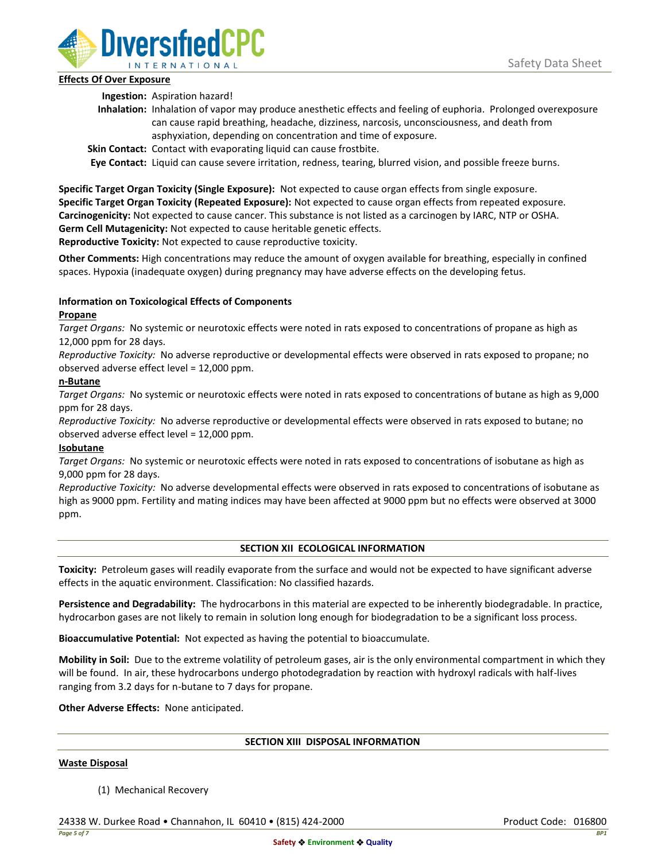

## **Effects Of Over Exposure**

**Ingestion:** Aspiration hazard!

- **Inhalation:** Inhalation of vapor may produce anesthetic effects and feeling of euphoria. Prolonged overexposure can cause rapid breathing, headache, dizziness, narcosis, unconsciousness, and death from asphyxiation, depending on concentration and time of exposure.
- **Skin Contact:** Contact with evaporating liquid can cause frostbite.

**Eye Contact:** Liquid can cause severe irritation, redness, tearing, blurred vision, and possible freeze burns.

**Specific Target Organ Toxicity (Single Exposure):** Not expected to cause organ effects from single exposure. **Specific Target Organ Toxicity (Repeated Exposure):** Not expected to cause organ effects from repeated exposure. **Carcinogenicity:** Not expected to cause cancer. This substance is not listed as a carcinogen by IARC, NTP or OSHA. **Germ Cell Mutagenicity:** Not expected to cause heritable genetic effects.

**Reproductive Toxicity:** Not expected to cause reproductive toxicity.

**Other Comments:** High concentrations may reduce the amount of oxygen available for breathing, especially in confined spaces. Hypoxia (inadequate oxygen) during pregnancy may have adverse effects on the developing fetus.

# **Information on Toxicological Effects of Components**

## **Propane**

*Target Organs:* No systemic or neurotoxic effects were noted in rats exposed to concentrations of propane as high as 12,000 ppm for 28 days.

*Reproductive Toxicity:* No adverse reproductive or developmental effects were observed in rats exposed to propane; no observed adverse effect level = 12,000 ppm.

## **n-Butane**

*Target Organs:* No systemic or neurotoxic effects were noted in rats exposed to concentrations of butane as high as 9,000 ppm for 28 days.

*Reproductive Toxicity:* No adverse reproductive or developmental effects were observed in rats exposed to butane; no observed adverse effect level = 12,000 ppm.

# **Isobutane**

*Target Organs:* No systemic or neurotoxic effects were noted in rats exposed to concentrations of isobutane as high as 9,000 ppm for 28 days.

*Reproductive Toxicity:* No adverse developmental effects were observed in rats exposed to concentrations of isobutane as high as 9000 ppm. Fertility and mating indices may have been affected at 9000 ppm but no effects were observed at 3000 ppm.

# **SECTION XII ECOLOGICAL INFORMATION**

**Toxicity:** Petroleum gases will readily evaporate from the surface and would not be expected to have significant adverse effects in the aquatic environment. Classification: No classified hazards.

**Persistence and Degradability:** The hydrocarbons in this material are expected to be inherently biodegradable. In practice, hydrocarbon gases are not likely to remain in solution long enough for biodegradation to be a significant loss process.

**Bioaccumulative Potential:** Not expected as having the potential to bioaccumulate.

**Mobility in Soil:** Due to the extreme volatility of petroleum gases, air is the only environmental compartment in which they will be found. In air, these hydrocarbons undergo photodegradation by reaction with hydroxyl radicals with half-lives ranging from 3.2 days for n-butane to 7 days for propane.

**Other Adverse Effects:** None anticipated.

### **SECTION XIII DISPOSAL INFORMATION**

### **Waste Disposal**

(1) Mechanical Recovery

24338 W. Durkee Road • Channahon, IL 60410 • (815) 424-2000 Product Code: 016800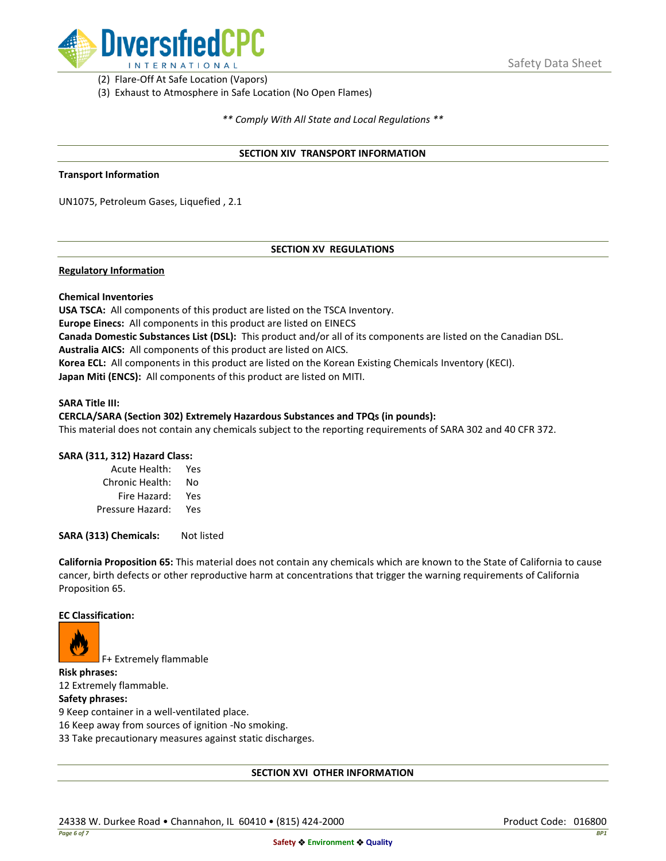

(2) Flare-Off At Safe Location (Vapors)

(3) Exhaust to Atmosphere in Safe Location (No Open Flames)

*\*\* Comply With All State and Local Regulations \*\**

### **SECTION XIV TRANSPORT INFORMATION**

#### **Transport Information**

UN1075, Petroleum Gases, Liquefied , 2.1

## **SECTION XV REGULATIONS**

### **Regulatory Information**

### **Chemical Inventories**

**USA TSCA:** All components of this product are listed on the TSCA Inventory. **Europe Einecs:** All components in this product are listed on EINECS **Canada Domestic Substances List (DSL):** This product and/or all of its components are listed on the Canadian DSL. **Australia AICS:** All components of this product are listed on AICS. **Korea ECL:** All components in this product are listed on the Korean Existing Chemicals Inventory (KECI). **Japan Miti (ENCS):** All components of this product are listed on MITI.

#### **SARA Title III:**

### **CERCLA/SARA (Section 302) Extremely Hazardous Substances and TPQs (in pounds):**

This material does not contain any chemicals subject to the reporting requirements of SARA 302 and 40 CFR 372.

### **SARA (311, 312) Hazard Class:**

| Acute Health:    | Yes |
|------------------|-----|
| Chronic Health:  | No  |
| Fire Hazard:     | Yes |
| Pressure Hazard: | Yes |

**SARA (313) Chemicals:** Not listed

**California Proposition 65:** This material does not contain any chemicals which are known to the State of California to cause cancer, birth defects or other reproductive harm at concentrations that trigger the warning requirements of California Proposition 65.

#### **EC Classification:**



F+ Extremely flammable

**Risk phrases:** 12 Extremely flammable.

## **Safety phrases:**

9 Keep container in a well-ventilated place.

16 Keep away from sources of ignition -No smoking.

33 Take precautionary measures against static discharges.

### **SECTION XVI OTHER INFORMATION**